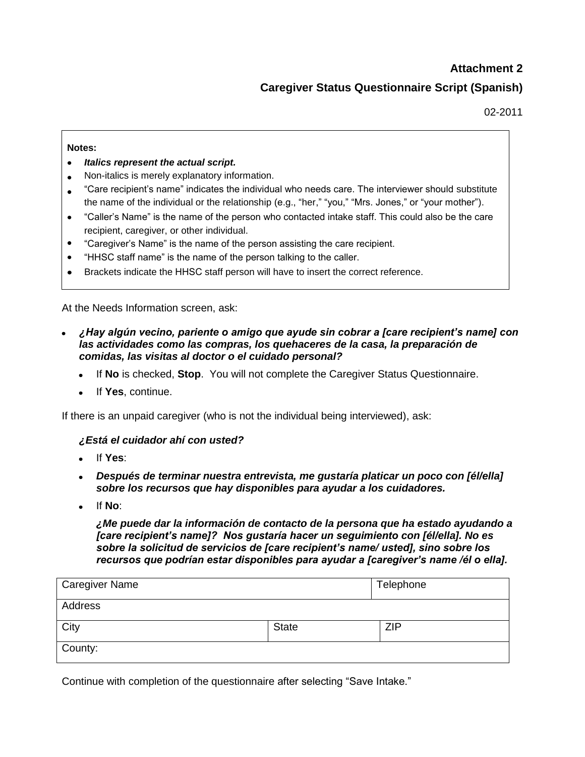# **Attachment 2**

# **Caregiver Status Questionnaire Script (Spanish)**

02-2011

#### **Notes:**

- *Italics represent the actual script.*
- Non-italics is merely explanatory information.
- "Care recipient's name" indicates the individual who needs care. The interviewer should substitute the name of the individual or the relationship (e.g., "her," "you," "Mrs. Jones," or "your mother").
- "Caller's Name" is the name of the person who contacted intake staff. This could also be the care recipient, caregiver, or other individual.
- "Caregiver's Name" is the name of the person assisting the care recipient.
- "HHSC staff name" is the name of the person talking to the caller.
- Brackets indicate the HHSC staff person will have to insert the correct reference.

At the Needs Information screen, ask:

- *¿Hay algún vecino, pariente o amigo que ayude sin cobrar a [care recipient's name] con las actividades como las compras, los quehaceres de la casa, la preparación de comidas, las visitas al doctor o el cuidado personal?* 
	- If **No** is checked, **Stop**. You will not complete the Caregiver Status Questionnaire.
	- If **Yes**, continue.

If there is an unpaid caregiver (who is not the individual being interviewed), ask:

### *¿Está el cuidador ahí con usted?*

- If **Yes**:
- *Después de terminar nuestra entrevista, me gustaría platicar un poco con [él/ella] sobre los recursos que hay disponibles para ayudar a los cuidadores.*
- If **No**:

*¿Me puede dar la información de contacto de la persona que ha estado ayudando a [care recipient's name]? Nos gustaría hacer un seguimiento con [él/ella]. No es sobre la solicitud de servicios de [care recipient's name/ usted], sino sobre los recursos que podrían estar disponibles para ayudar a [caregiver's name /él o ella].* 

| <b>Caregiver Name</b> |              | Telephone  |
|-----------------------|--------------|------------|
| Address               |              |            |
| City                  | <b>State</b> | <b>ZIP</b> |
| County:               |              |            |

Continue with completion of the questionnaire after selecting "Save Intake."